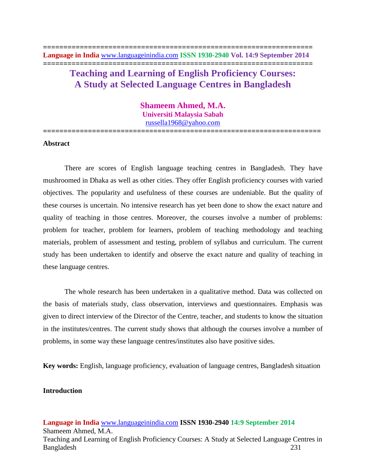# **Teaching and Learning of English Proficiency Courses: A Study at Selected Language Centres in Bangladesh**

**Shameem Ahmed, M.A. Universiti Malaysia Sabah** [russella1968@yahoo.com](mailto:russella1968@yahoo.com)

**====================================================================**

## **Abstract**

There are scores of English language teaching centres in Bangladesh. They have mushroomed in Dhaka as well as other cities. They offer English proficiency courses with varied objectives. The popularity and usefulness of these courses are undeniable. But the quality of these courses is uncertain. No intensive research has yet been done to show the exact nature and quality of teaching in those centres. Moreover, the courses involve a number of problems: problem for teacher, problem for learners, problem of teaching methodology and teaching materials, problem of assessment and testing, problem of syllabus and curriculum. The current study has been undertaken to identify and observe the exact nature and quality of teaching in these language centres.

The whole research has been undertaken in a qualitative method. Data was collected on the basis of materials study, class observation, interviews and questionnaires. Emphasis was given to direct interview of the Director of the Centre, teacher, and students to know the situation in the institutes/centres. The current study shows that although the courses involve a number of problems, in some way these language centres/institutes also have positive sides.

**Key words:** English, language proficiency, evaluation of language centres, Bangladesh situation

## **Introduction**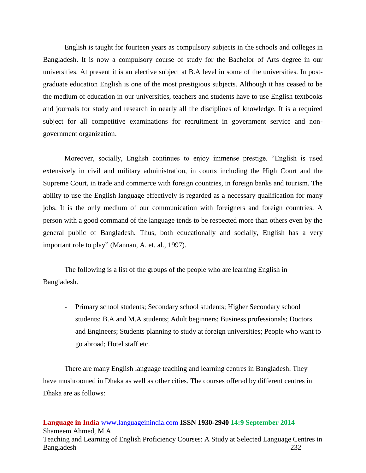English is taught for fourteen years as compulsory subjects in the schools and colleges in Bangladesh. It is now a compulsory course of study for the Bachelor of Arts degree in our universities. At present it is an elective subject at B.A level in some of the universities. In postgraduate education English is one of the most prestigious subjects. Although it has ceased to be the medium of education in our universities, teachers and students have to use English textbooks and journals for study and research in nearly all the disciplines of knowledge. It is a required subject for all competitive examinations for recruitment in government service and nongovernment organization.

Moreover, socially, English continues to enjoy immense prestige. "English is used extensively in civil and military administration, in courts including the High Court and the Supreme Court, in trade and commerce with foreign countries, in foreign banks and tourism. The ability to use the English language effectively is regarded as a necessary qualification for many jobs. It is the only medium of our communication with foreigners and foreign countries. A person with a good command of the language tends to be respected more than others even by the general public of Bangladesh. Thus, both educationally and socially, English has a very important role to play" (Mannan, A. et. al., 1997).

The following is a list of the groups of the people who are learning English in Bangladesh.

- Primary school students; Secondary school students; Higher Secondary school students; B.A and M.A students; Adult beginners; Business professionals; Doctors and Engineers; Students planning to study at foreign universities; People who want to go abroad; Hotel staff etc.

There are many English language teaching and learning centres in Bangladesh. They have mushroomed in Dhaka as well as other cities. The courses offered by different centres in Dhaka are as follows: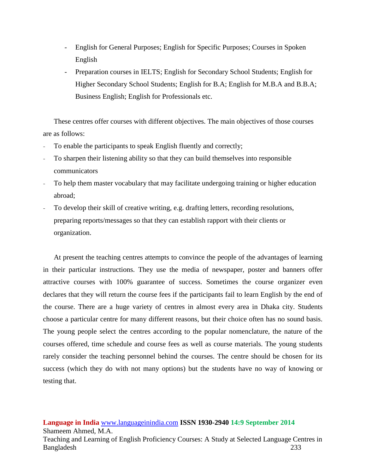- English for General Purposes; English for Specific Purposes; Courses in Spoken English
- Preparation courses in IELTS; English for Secondary School Students; English for Higher Secondary School Students; English for B.A; English for M.B.A and B.B.A; Business English; English for Professionals etc.

These centres offer courses with different objectives. The main objectives of those courses are as follows:

- To enable the participants to speak English fluently and correctly;
- To sharpen their listening ability so that they can build themselves into responsible communicators
- To help them master vocabulary that may facilitate undergoing training or higher education abroad;
- To develop their skill of creative writing, e.g. drafting letters, recording resolutions, preparing reports/messages so that they can establish rapport with their clients or organization.

At present the teaching centres attempts to convince the people of the advantages of learning in their particular instructions. They use the media of newspaper, poster and banners offer attractive courses with 100% guarantee of success. Sometimes the course organizer even declares that they will return the course fees if the participants fail to learn English by the end of the course. There are a huge variety of centres in almost every area in Dhaka city. Students choose a particular centre for many different reasons, but their choice often has no sound basis. The young people select the centres according to the popular nomenclature, the nature of the courses offered, time schedule and course fees as well as course materials. The young students rarely consider the teaching personnel behind the courses. The centre should be chosen for its success (which they do with not many options) but the students have no way of knowing or testing that.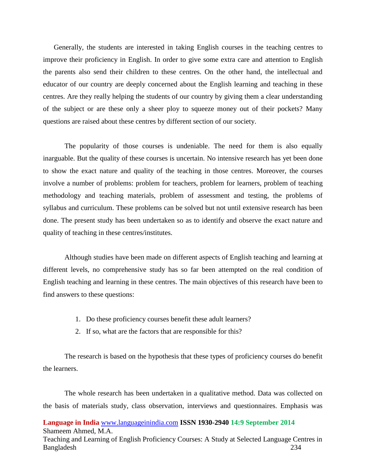Generally, the students are interested in taking English courses in the teaching centres to improve their proficiency in English. In order to give some extra care and attention to English the parents also send their children to these centres. On the other hand, the intellectual and educator of our country are deeply concerned about the English learning and teaching in these centres. Are they really helping the students of our country by giving them a clear understanding of the subject or are these only a sheer ploy to squeeze money out of their pockets? Many questions are raised about these centres by different section of our society.

The popularity of those courses is undeniable. The need for them is also equally inarguable. But the quality of these courses is uncertain. No intensive research has yet been done to show the exact nature and quality of the teaching in those centres. Moreover, the courses involve a number of problems: problem for teachers, problem for learners, problem of teaching methodology and teaching materials, problem of assessment and testing, the problems of syllabus and curriculum. These problems can be solved but not until extensive research has been done. The present study has been undertaken so as to identify and observe the exact nature and quality of teaching in these centres/institutes.

Although studies have been made on different aspects of English teaching and learning at different levels, no comprehensive study has so far been attempted on the real condition of English teaching and learning in these centres. The main objectives of this research have been to find answers to these questions:

- 1. Do these proficiency courses benefit these adult learners?
- 2. If so, what are the factors that are responsible for this?

The research is based on the hypothesis that these types of proficiency courses do benefit the learners.

The whole research has been undertaken in a qualitative method. Data was collected on the basis of materials study, class observation, interviews and questionnaires. Emphasis was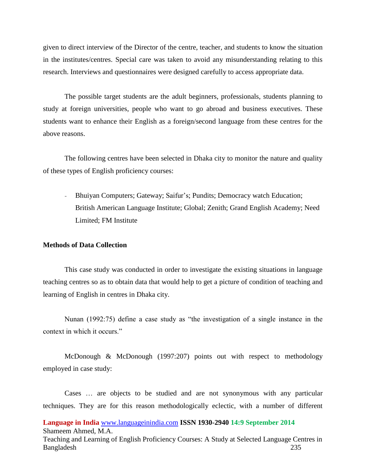given to direct interview of the Director of the centre, teacher, and students to know the situation in the institutes/centres. Special care was taken to avoid any misunderstanding relating to this research. Interviews and questionnaires were designed carefully to access appropriate data.

The possible target students are the adult beginners, professionals, students planning to study at foreign universities, people who want to go abroad and business executives. These students want to enhance their English as a foreign/second language from these centres for the above reasons.

The following centres have been selected in Dhaka city to monitor the nature and quality of these types of English proficiency courses:

- Bhuiyan Computers; Gateway; Saifur's; Pundits; Democracy watch Education; British American Language Institute; Global; Zenith; Grand English Academy; Need Limited; FM Institute

#### **Methods of Data Collection**

This case study was conducted in order to investigate the existing situations in language teaching centres so as to obtain data that would help to get a picture of condition of teaching and learning of English in centres in Dhaka city.

Nunan (1992:75) define a case study as "the investigation of a single instance in the context in which it occurs."

McDonough & McDonough (1997:207) points out with respect to methodology employed in case study:

Cases … are objects to be studied and are not synonymous with any particular techniques. They are for this reason methodologically eclectic, with a number of different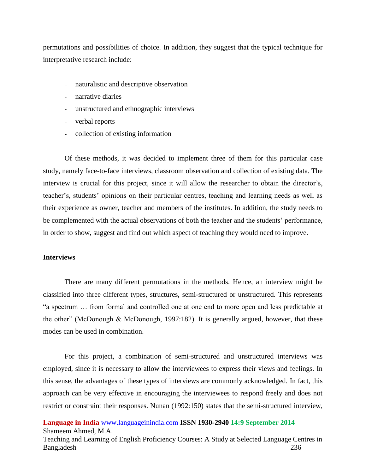permutations and possibilities of choice. In addition, they suggest that the typical technique for interpretative research include:

- naturalistic and descriptive observation
- narrative diaries
- unstructured and ethnographic interviews
- verbal reports
- collection of existing information

Of these methods, it was decided to implement three of them for this particular case study, namely face-to-face interviews, classroom observation and collection of existing data. The interview is crucial for this project, since it will allow the researcher to obtain the director's, teacher's, students' opinions on their particular centres, teaching and learning needs as well as their experience as owner, teacher and members of the institutes. In addition, the study needs to be complemented with the actual observations of both the teacher and the students' performance, in order to show, suggest and find out which aspect of teaching they would need to improve.

### **Interviews**

There are many different permutations in the methods. Hence, an interview might be classified into three different types, structures, semi-structured or unstructured. This represents "a spectrum … from formal and controlled one at one end to more open and less predictable at the other" (McDonough & McDonough, 1997:182). It is generally argued, however, that these modes can be used in combination.

For this project, a combination of semi-structured and unstructured interviews was employed, since it is necessary to allow the interviewees to express their views and feelings. In this sense, the advantages of these types of interviews are commonly acknowledged. In fact, this approach can be very effective in encouraging the interviewees to respond freely and does not restrict or constraint their responses. Nunan (1992:150) states that the semi-structured interview,

**Language in India** [www.languageinindia.com](http://www.languageinindia.com/) **ISSN 1930-2940 14:9 September 2014** Shameem Ahmed, M.A.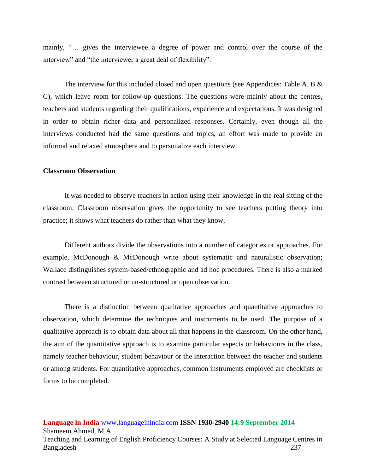mainly, "… gives the interviewee a degree of power and control over the course of the interview" and "the interviewer a great deal of flexibility".

The interview for this included closed and open questions (see Appendices: Table A, B  $\&$ C), which leave room for follow-up questions. The questions were mainly about the centres, teachers and students regarding their qualifications, experience and expectations. It was designed in order to obtain richer data and personalized responses. Certainly, even though all the interviews conducted had the same questions and topics, an effort was made to provide an informal and relaxed atmosphere and to personalize each interview.

## **Classroom Observation**

It was needed to observe teachers in action using their knowledge in the real sitting of the classroom. Classroom observation gives the opportunity to see teachers putting theory into practice; it shows what teachers do rather than what they know.

Different authors divide the observations into a number of categories or approaches. For example, McDonough & McDonough write about systematic and naturalistic observation; Wallace distinguishes system-based/ethnographic and ad hoc procedures. There is also a marked contrast between structured or un-structured or open observation.

There is a distinction between qualitative approaches and quantitative approaches to observation, which determine the techniques and instruments to be used. The purpose of a qualitative approach is to obtain data about all that happens in the classroom. On the other hand, the aim of the quantitative approach is to examine particular aspects or behaviours in the class, namely teacher behaviour, student behaviour or the interaction between the teacher and students or among students. For quantitative approaches, common instruments employed are checklists or forms to be completed.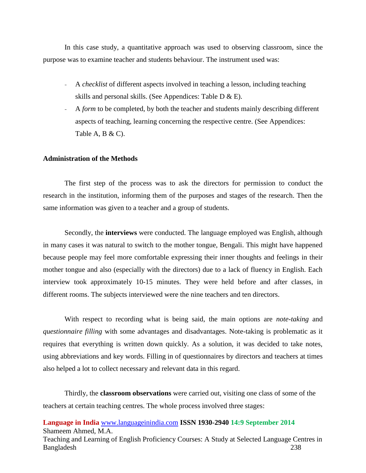In this case study, a quantitative approach was used to observing classroom, since the purpose was to examine teacher and students behaviour. The instrument used was:

- A *checklist* of different aspects involved in teaching a lesson, including teaching skills and personal skills. (See Appendices: Table D & E).
- A *form* to be completed, by both the teacher and students mainly describing different aspects of teaching, learning concerning the respective centre. (See Appendices: Table A, B  $\&$  C).

## **Administration of the Methods**

The first step of the process was to ask the directors for permission to conduct the research in the institution, informing them of the purposes and stages of the research. Then the same information was given to a teacher and a group of students.

Secondly, the **interviews** were conducted. The language employed was English, although in many cases it was natural to switch to the mother tongue, Bengali. This might have happened because people may feel more comfortable expressing their inner thoughts and feelings in their mother tongue and also (especially with the directors) due to a lack of fluency in English. Each interview took approximately 10-15 minutes. They were held before and after classes, in different rooms. The subjects interviewed were the nine teachers and ten directors.

With respect to recording what is being said, the main options are *note-taking* and *questionnaire filling* with some advantages and disadvantages. Note-taking is problematic as it requires that everything is written down quickly. As a solution, it was decided to take notes, using abbreviations and key words. Filling in of questionnaires by directors and teachers at times also helped a lot to collect necessary and relevant data in this regard.

Thirdly, the **classroom observations** were carried out, visiting one class of some of the teachers at certain teaching centres. The whole process involved three stages: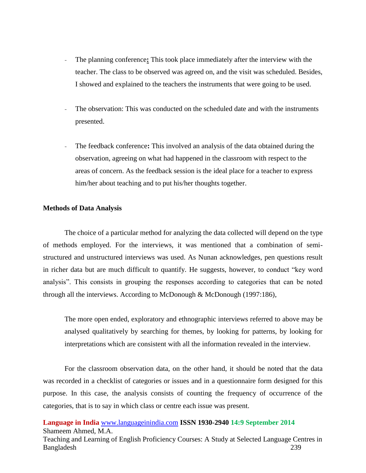- The planning conference**:** This took place immediately after the interview with the teacher. The class to be observed was agreed on, and the visit was scheduled. Besides, I showed and explained to the teachers the instruments that were going to be used.
- The observation: This was conducted on the scheduled date and with the instruments presented.
- The feedback conference**:** This involved an analysis of the data obtained during the observation, agreeing on what had happened in the classroom with respect to the areas of concern. As the feedback session is the ideal place for a teacher to express him/her about teaching and to put his/her thoughts together.

#### **Methods of Data Analysis**

The choice of a particular method for analyzing the data collected will depend on the type of methods employed. For the interviews, it was mentioned that a combination of semistructured and unstructured interviews was used. As Nunan acknowledges, pen questions result in richer data but are much difficult to quantify. He suggests, however, to conduct "key word analysis". This consists in grouping the responses according to categories that can be noted through all the interviews. According to McDonough & McDonough (1997:186),

The more open ended, exploratory and ethnographic interviews referred to above may be analysed qualitatively by searching for themes, by looking for patterns, by looking for interpretations which are consistent with all the information revealed in the interview.

For the classroom observation data, on the other hand, it should be noted that the data was recorded in a checklist of categories or issues and in a questionnaire form designed for this purpose. In this case, the analysis consists of counting the frequency of occurrence of the categories, that is to say in which class or centre each issue was present.

**Language in India** [www.languageinindia.com](http://www.languageinindia.com/) **ISSN 1930-2940 14:9 September 2014** Shameem Ahmed, M.A.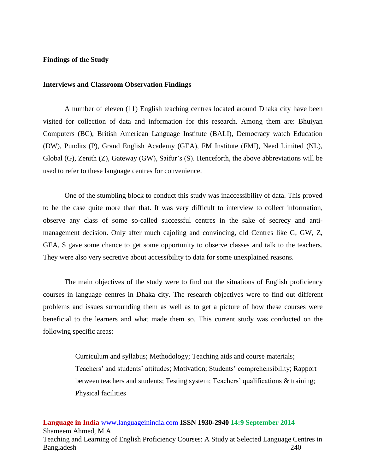### **Findings of the Study**

#### **Interviews and Classroom Observation Findings**

A number of eleven (11) English teaching centres located around Dhaka city have been visited for collection of data and information for this research. Among them are: Bhuiyan Computers (BC), British American Language Institute (BALI), Democracy watch Education (DW), Pundits (P), Grand English Academy (GEA), FM Institute (FMI), Need Limited (NL), Global (G), Zenith (Z), Gateway (GW), Saifur's (S). Henceforth, the above abbreviations will be used to refer to these language centres for convenience.

One of the stumbling block to conduct this study was inaccessibility of data. This proved to be the case quite more than that. It was very difficult to interview to collect information, observe any class of some so-called successful centres in the sake of secrecy and antimanagement decision. Only after much cajoling and convincing, did Centres like G, GW, Z, GEA, S gave some chance to get some opportunity to observe classes and talk to the teachers. They were also very secretive about accessibility to data for some unexplained reasons.

The main objectives of the study were to find out the situations of English proficiency courses in language centres in Dhaka city. The research objectives were to find out different problems and issues surrounding them as well as to get a picture of how these courses were beneficial to the learners and what made them so. This current study was conducted on the following specific areas:

- Curriculum and syllabus; Methodology; Teaching aids and course materials; Teachers' and students' attitudes; Motivation; Students' comprehensibility; Rapport between teachers and students; Testing system; Teachers' qualifications & training; Physical facilities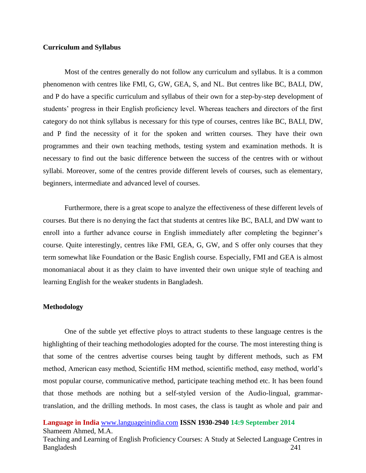## **Curriculum and Syllabus**

Most of the centres generally do not follow any curriculum and syllabus. It is a common phenomenon with centres like FMI, G, GW, GEA, S, and NL. But centres like BC, BALI, DW, and P do have a specific curriculum and syllabus of their own for a step-by-step development of students' progress in their English proficiency level. Whereas teachers and directors of the first category do not think syllabus is necessary for this type of courses, centres like BC, BALI, DW, and P find the necessity of it for the spoken and written courses. They have their own programmes and their own teaching methods, testing system and examination methods. It is necessary to find out the basic difference between the success of the centres with or without syllabi. Moreover, some of the centres provide different levels of courses, such as elementary, beginners, intermediate and advanced level of courses.

Furthermore, there is a great scope to analyze the effectiveness of these different levels of courses. But there is no denying the fact that students at centres like BC, BALI, and DW want to enroll into a further advance course in English immediately after completing the beginner's course. Quite interestingly, centres like FMI, GEA, G, GW, and S offer only courses that they term somewhat like Foundation or the Basic English course. Especially, FMI and GEA is almost monomaniacal about it as they claim to have invented their own unique style of teaching and learning English for the weaker students in Bangladesh.

#### **Methodology**

One of the subtle yet effective ploys to attract students to these language centres is the highlighting of their teaching methodologies adopted for the course. The most interesting thing is that some of the centres advertise courses being taught by different methods, such as FM method, American easy method, Scientific HM method, scientific method, easy method, world's most popular course, communicative method, participate teaching method etc. It has been found that those methods are nothing but a self-styled version of the Audio-lingual, grammartranslation, and the drilling methods. In most cases, the class is taught as whole and pair and

**Language in India** [www.languageinindia.com](http://www.languageinindia.com/) **ISSN 1930-2940 14:9 September 2014** Shameem Ahmed, M.A.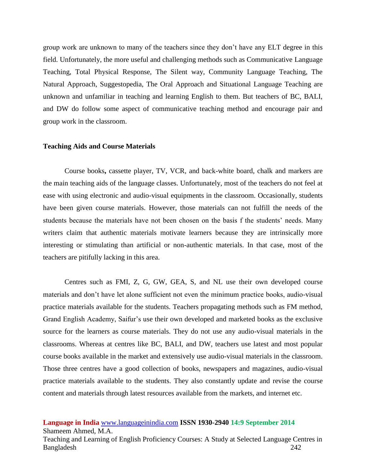group work are unknown to many of the teachers since they don't have any ELT degree in this field. Unfortunately, the more useful and challenging methods such as Communicative Language Teaching, Total Physical Response, The Silent way, Community Language Teaching, The Natural Approach, Suggestopedia, The Oral Approach and Situational Language Teaching are unknown and unfamiliar in teaching and learning English to them. But teachers of BC, BALI, and DW do follow some aspect of communicative teaching method and encourage pair and group work in the classroom.

## **Teaching Aids and Course Materials**

Course books**,** cassette player, TV, VCR, and back-white board, chalk and markers are the main teaching aids of the language classes. Unfortunately, most of the teachers do not feel at ease with using electronic and audio-visual equipments in the classroom. Occasionally, students have been given course materials. However, those materials can not fulfill the needs of the students because the materials have not been chosen on the basis f the students' needs. Many writers claim that authentic materials motivate learners because they are intrinsically more interesting or stimulating than artificial or non-authentic materials. In that case, most of the teachers are pitifully lacking in this area.

Centres such as FMI, Z, G, GW, GEA, S, and NL use their own developed course materials and don't have let alone sufficient not even the minimum practice books, audio-visual practice materials available for the students. Teachers propagating methods such as FM method, Grand English Academy, Saifur's use their own developed and marketed books as the exclusive source for the learners as course materials. They do not use any audio-visual materials in the classrooms. Whereas at centres like BC, BALI, and DW, teachers use latest and most popular course books available in the market and extensively use audio-visual materials in the classroom. Those three centres have a good collection of books, newspapers and magazines, audio-visual practice materials available to the students. They also constantly update and revise the course content and materials through latest resources available from the markets, and internet etc.

#### **Language in India** [www.languageinindia.com](http://www.languageinindia.com/) **ISSN 1930-2940 14:9 September 2014** Shameem Ahmed, M.A.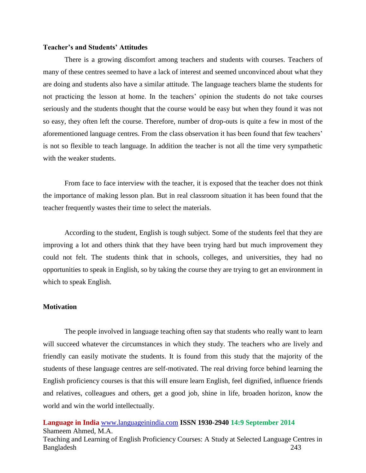### **Teacher's and Students' Attitudes**

There is a growing discomfort among teachers and students with courses. Teachers of many of these centres seemed to have a lack of interest and seemed unconvinced about what they are doing and students also have a similar attitude. The language teachers blame the students for not practicing the lesson at home. In the teachers' opinion the students do not take courses seriously and the students thought that the course would be easy but when they found it was not so easy, they often left the course. Therefore, number of drop-outs is quite a few in most of the aforementioned language centres. From the class observation it has been found that few teachers' is not so flexible to teach language. In addition the teacher is not all the time very sympathetic with the weaker students.

From face to face interview with the teacher, it is exposed that the teacher does not think the importance of making lesson plan. But in real classroom situation it has been found that the teacher frequently wastes their time to select the materials.

According to the student, English is tough subject. Some of the students feel that they are improving a lot and others think that they have been trying hard but much improvement they could not felt. The students think that in schools, colleges, and universities, they had no opportunities to speak in English, so by taking the course they are trying to get an environment in which to speak English.

## **Motivation**

The people involved in language teaching often say that students who really want to learn will succeed whatever the circumstances in which they study. The teachers who are lively and friendly can easily motivate the students. It is found from this study that the majority of the students of these language centres are self-motivated. The real driving force behind learning the English proficiency courses is that this will ensure learn English, feel dignified, influence friends and relatives, colleagues and others, get a good job, shine in life, broaden horizon, know the world and win the world intellectually.

**Language in India** [www.languageinindia.com](http://www.languageinindia.com/) **ISSN 1930-2940 14:9 September 2014** Shameem Ahmed, M.A.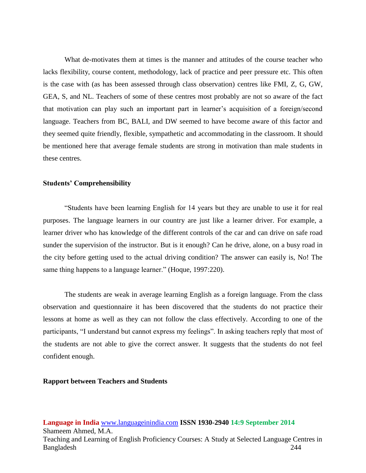What de-motivates them at times is the manner and attitudes of the course teacher who lacks flexibility, course content, methodology, lack of practice and peer pressure etc. This often is the case with (as has been assessed through class observation) centres like FMI, Z, G, GW, GEA, S, and NL. Teachers of some of these centres most probably are not so aware of the fact that motivation can play such an important part in learner's acquisition of a foreign/second language. Teachers from BC, BALI, and DW seemed to have become aware of this factor and they seemed quite friendly, flexible, sympathetic and accommodating in the classroom. It should be mentioned here that average female students are strong in motivation than male students in these centres.

#### **Students' Comprehensibility**

"Students have been learning English for 14 years but they are unable to use it for real purposes. The language learners in our country are just like a learner driver. For example, a learner driver who has knowledge of the different controls of the car and can drive on safe road sunder the supervision of the instructor. But is it enough? Can he drive, alone, on a busy road in the city before getting used to the actual driving condition? The answer can easily is, No! The same thing happens to a language learner." (Hoque, 1997:220).

The students are weak in average learning English as a foreign language. From the class observation and questionnaire it has been discovered that the students do not practice their lessons at home as well as they can not follow the class effectively. According to one of the participants, "I understand but cannot express my feelings". In asking teachers reply that most of the students are not able to give the correct answer. It suggests that the students do not feel confident enough.

#### **Rapport between Teachers and Students**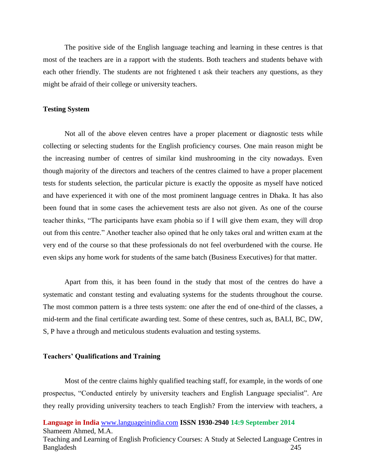The positive side of the English language teaching and learning in these centres is that most of the teachers are in a rapport with the students. Both teachers and students behave with each other friendly. The students are not frightened t ask their teachers any questions, as they might be afraid of their college or university teachers.

#### **Testing System**

Not all of the above eleven centres have a proper placement or diagnostic tests while collecting or selecting students for the English proficiency courses. One main reason might be the increasing number of centres of similar kind mushrooming in the city nowadays. Even though majority of the directors and teachers of the centres claimed to have a proper placement tests for students selection, the particular picture is exactly the opposite as myself have noticed and have experienced it with one of the most prominent language centres in Dhaka. It has also been found that in some cases the achievement tests are also not given. As one of the course teacher thinks, "The participants have exam phobia so if I will give them exam, they will drop out from this centre." Another teacher also opined that he only takes oral and written exam at the very end of the course so that these professionals do not feel overburdened with the course. He even skips any home work for students of the same batch (Business Executives) for that matter.

Apart from this, it has been found in the study that most of the centres do have a systematic and constant testing and evaluating systems for the students throughout the course. The most common pattern is a three tests system: one after the end of one-third of the classes, a mid-term and the final certificate awarding test. Some of these centres, such as, BALI, BC, DW, S, P have a through and meticulous students evaluation and testing systems.

#### **Teachers' Qualifications and Training**

Most of the centre claims highly qualified teaching staff, for example, in the words of one prospectus, "Conducted entirely by university teachers and English Language specialist". Are they really providing university teachers to teach English? From the interview with teachers, a

**Language in India** [www.languageinindia.com](http://www.languageinindia.com/) **ISSN 1930-2940 14:9 September 2014** Shameem Ahmed, M.A.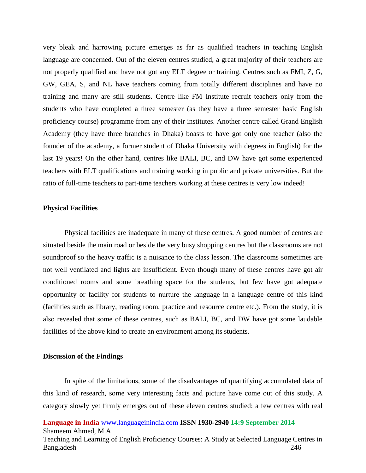very bleak and harrowing picture emerges as far as qualified teachers in teaching English language are concerned. Out of the eleven centres studied, a great majority of their teachers are not properly qualified and have not got any ELT degree or training. Centres such as FMI, Z, G, GW, GEA, S, and NL have teachers coming from totally different disciplines and have no training and many are still students. Centre like FM Institute recruit teachers only from the students who have completed a three semester (as they have a three semester basic English proficiency course) programme from any of their institutes. Another centre called Grand English Academy (they have three branches in Dhaka) boasts to have got only one teacher (also the founder of the academy, a former student of Dhaka University with degrees in English) for the last 19 years! On the other hand, centres like BALI, BC, and DW have got some experienced teachers with ELT qualifications and training working in public and private universities. But the ratio of full-time teachers to part-time teachers working at these centres is very low indeed!

#### **Physical Facilities**

Physical facilities are inadequate in many of these centres. A good number of centres are situated beside the main road or beside the very busy shopping centres but the classrooms are not soundproof so the heavy traffic is a nuisance to the class lesson. The classrooms sometimes are not well ventilated and lights are insufficient. Even though many of these centres have got air conditioned rooms and some breathing space for the students, but few have got adequate opportunity or facility for students to nurture the language in a language centre of this kind (facilities such as library, reading room, practice and resource centre etc.). From the study, it is also revealed that some of these centres, such as BALI, BC, and DW have got some laudable facilities of the above kind to create an environment among its students.

#### **Discussion of the Findings**

In spite of the limitations, some of the disadvantages of quantifying accumulated data of this kind of research, some very interesting facts and picture have come out of this study. A category slowly yet firmly emerges out of these eleven centres studied: a few centres with real

**Language in India** [www.languageinindia.com](http://www.languageinindia.com/) **ISSN 1930-2940 14:9 September 2014** Shameem Ahmed, M.A.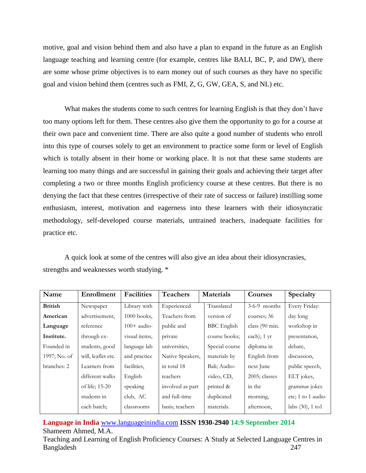motive, goal and vision behind them and also have a plan to expand in the future as an English language teaching and learning centre (for example, centres like BALI, BC, P, and DW), there are some whose prime objectives is to earn money out of such courses as they have no specific goal and vision behind them (centres such as FMI, Z, G, GW, GEA, S, and NL) etc.

What makes the students come to such centres for learning English is that they don't have too many options left for them. These centres also give them the opportunity to go for a course at their own pace and convenient time. There are also quite a good number of students who enroll into this type of courses solely to get an environment to practice some form or level of English which is totally absent in their home or working place. It is not that these same students are learning too many things and are successful in gaining their goals and achieving their target after completing a two or three months English proficiency course at these centres. But there is no denying the fact that these centres (irrespective of their rate of success or failure) instilling some enthusiasm, interest, motivation and eagerness into these learners with their idiosyncratic methodology, self-developed course materials, untrained teachers, inadequate facilities for practice etc.

A quick look at some of the centres will also give an idea about their idiosyncrasies, strengths and weaknesses worth studying. \*

| Name           | Enrollment         | <b>Facilities</b> | <b>Teachers</b>  | <b>Materials</b>   | Courses          | Specialty            |
|----------------|--------------------|-------------------|------------------|--------------------|------------------|----------------------|
| <b>British</b> | Newspaper          | Library with      | Experienced      | Translated         | $3-6-9$ months   | Every Friday:        |
| American       | advertisement,     | $1000$ books,     | Teachers from    | version of         | courses; 36      | day long             |
| Language       | reference          | $100+$ audio-     | public and       | <b>BBC</b> English | class (90 min.   | workshop in          |
| Institute.     | through ex-        | visual items,     | private          | course books;      | each); $1 \, yr$ | presentation,        |
| Founded in     | students, good     | language lab      | universities,    | Special course     | diploma in       | debate.              |
| 1997; No. of   | will, leaflet etc. | and practice      | Native Speakers, | materials by       | English from     | discussion,          |
| branches: 2    | Learners from      | facilities.       | in total 18      | Bali; Audio-       | next June        | public speech,       |
|                | different walks    | English           | teachers         | video, CD,         | 2005; classes    | ELT jokes,           |
|                | of life; 15-20     | speaking          | involved as part | printed &          | in the           | grammar jokes        |
|                | students in        | club, AC          | and full-time    | duplicated         | morning,         | etc; 1 to 1 audio    |
|                | each batch;        | classrooms        | basis; teachers  | materials.         | afternoon,       | labs $(30)$ , 1 to 1 |

**Language in India** [www.languageinindia.com](http://www.languageinindia.com/) **ISSN 1930-2940 14:9 September 2014** Shameem Ahmed, M.A.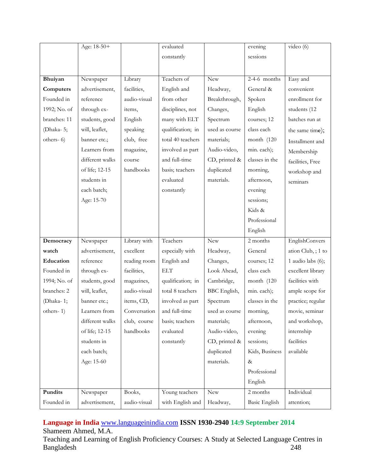|              | Age: 18-50+     |              | evaluated            |                | evening              | video $(6)$        |
|--------------|-----------------|--------------|----------------------|----------------|----------------------|--------------------|
|              |                 |              | constantly           |                | sessions             |                    |
|              |                 |              |                      |                |                      |                    |
| Bhuiyan      | Newspaper       | Library      | Teachers of          | <b>New</b>     | $2-4-6$ months       | Easy and           |
| Computers    | advertisement,  | facilities,  | English and          | Headway,       | General &            | convenient         |
| Founded in   | reference       | audio-visual | from other           | Breakthrough,  | Spoken               | enrollment for     |
| 1992; No. of | through ex-     | items,       | disciplines, not     | Changes,       | English              | students (12       |
| branches: 11 | students, good  | English      | many with ELT        | Spectrum       | courses; 12          | batches run at     |
| (Dhaka-5;    | will, leaflet,  | speaking     | qualification; in    | used as course | class each           | the same time);    |
| others-6)    | banner etc.;    | club, free   | total 40 teachers    | materials;     | month (120           | Installment and    |
|              | Learners from   | magazine,    | involved as part     | Audio-video,   | min. each);          | Membership         |
|              | different walks | course       | and full-time        | CD, printed &  | classes in the       | facilities, Free   |
|              | of life; 12-15  | handbooks    | basis; teachers      | duplicated     | morning,             | workshop and       |
|              | students in     |              | evaluated            | materials.     | afternoon,           | seminars           |
|              | each batch;     |              | constantly           |                | evening              |                    |
|              | Age: 15-70      |              |                      |                | sessions;            |                    |
|              |                 |              |                      |                | Kids &               |                    |
|              |                 |              |                      |                | Professional         |                    |
|              |                 |              |                      |                | English              |                    |
| Democracy    | Newspaper       | Library with | Teachers             | <b>New</b>     | 2 months             | EnglishConvers     |
| watch        | advertisement,  | excellent    | especially with      | Headway,       | General              | ation Club, ; 1 to |
| Education    | reference       | reading room | English and          | Changes,       | courses; 12          | 1 audio labs (6);  |
| Founded in   | through ex-     | facilities,  | $\operatorname{ELT}$ | Look Ahead,    | class each           | excellent library  |
| 1994; No. of | students, good  | magazines,   | qualification; in    | Cambridge,     | month (120           | facilities with    |
| branches: 2  | will, leaflet,  | audio-visual | total 8 teachers     | BBC English,   | min. each);          | ample scope for    |
| (Dhaka-1;    | banner etc.;    | items, CD,   | involved as part     | Spectrum       | classes in the       | practice; regular  |
| others- $1)$ | Learners from   | Conversation | and full-time        | used as course | morning,             | movie, seminar     |
|              | different walks | club, course | basis; teachers      | materials;     | afternoon,           | and workshop,      |
|              | of life; 12-15  | handbooks    | evaluated            | Audio-video,   | evening              | internship         |
|              | students in     |              | constantly           | CD, printed &  | sessions;            | facilities         |
|              | each batch;     |              |                      | duplicated     | Kids, Business       | available          |
|              | Age: 15-60      |              |                      | materials.     | $\&$                 |                    |
|              |                 |              |                      |                | Professional         |                    |
|              |                 |              |                      |                | English              |                    |
| Pundits      | Newspaper       | Books,       | Young teachers       | New            | 2 months             | Individual         |
| Founded in   | advertisement,  | audio-visual | with English and     | Headway,       | <b>Basic English</b> | attention;         |

## **Language in India** [www.languageinindia.com](http://www.languageinindia.com/) **ISSN 1930-2940 14:9 September 2014** Shameem Ahmed, M.A.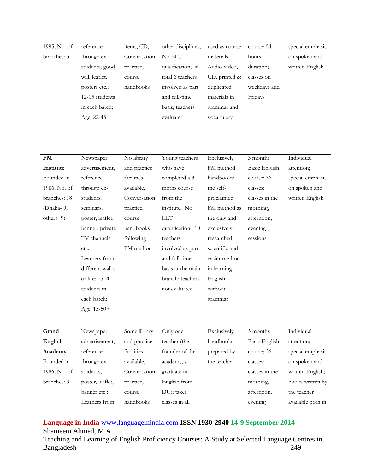| 1995; No. of | reference        | items, CD,   | other disciplines; | used as course | course; 54           | special emphasis  |
|--------------|------------------|--------------|--------------------|----------------|----------------------|-------------------|
| branches: 3  | through ex-      | Conversation | No ELT             | materials;     | hours                | on spoken and     |
|              | students, good   | practice,    | qualification; in  | Audio-video,   | duration;            | written English   |
|              | will, leaflet,   | course       | total 6 teachers   | CD, printed &  | classes on           |                   |
|              | posters etc.;    | handbooks    | involved as part   | duplicated     | weekdays and         |                   |
|              | 12-15 students   |              | and full-time      | materials in   | Fridays              |                   |
|              | in each batch;   |              | basis; teachers    | grammar and    |                      |                   |
|              | Age: 22-45       |              | evaluated          | vocabulary     |                      |                   |
|              |                  |              |                    |                |                      |                   |
|              |                  |              |                    |                |                      |                   |
|              |                  |              |                    |                |                      |                   |
| <b>FM</b>    | Newspaper        | No library   | Young teachers     | Exclusively    | 3 months             | Individual        |
| Institute    | advertisement,   | and practice | who have           | FM method      | <b>Basic English</b> | attention;        |
| Founded in   | reference        | facilities   | completed a 3      | handbooks;     | course; 36           | special emphasis  |
| 1986; No. of | through ex-      | available,   | moths course       | the self-      | classes;             | on spoken and     |
| branches: 18 | students,        | Conversation | from the           | proclaimed     | classes in the       | written English   |
| (Dhaka-9;    | seminars,        | practice,    | institute, No      | FM method as   | morning,             |                   |
| others-9)    | poster, leaflet, | course       | <b>ELT</b>         | the only and   | afternoon,           |                   |
|              | banner, private  | handbooks    | qualification; 10  | exclusively    | evening              |                   |
|              | TV channels      | following    | teachers           | researched     | sessions             |                   |
|              | etc.;            | FM method    | involved as part   | scientific and |                      |                   |
|              | Learners from    |              | and full-time      | easier method  |                      |                   |
|              | different walks  |              | basis at the main  | in learning    |                      |                   |
|              | of life; 15-20   |              | branch; teachers   | English        |                      |                   |
|              | students in      |              | not evaluated      | without        |                      |                   |
|              | each batch;      |              |                    | grammar        |                      |                   |
|              | Age: 15-50+      |              |                    |                |                      |                   |
|              |                  |              |                    |                |                      |                   |
| Grand        | Newspaper        | Some library | Only one           | Exclusively    | 3 months             | Individual        |
| English      | advertisement,   | and practice | teacher (the       | handbooks      | Basic English        | attention;        |
| Academy      | reference        | facilities   | founder of the     | prepared by    | course; 36           | special emphasis  |
| Founded in   | through ex-      | available,   | academy, a         | the teacher    | classes;             | on spoken and     |
| 1986; No. of | students,        | Conversation | graduate in        |                | classes in the       | written English;  |
| branches: 3  | poster, leaflet, | practice,    | English from       |                | morning,             | books written by  |
|              | banner etc.;     | course       | DU); takes         |                | afternoon,           | the teacher       |
|              | Learners from    | handbooks    | classes in all     |                | evening              | available both in |

## **Language in India** [www.languageinindia.com](http://www.languageinindia.com/) **ISSN 1930-2940 14:9 September 2014** Shameem Ahmed, M.A.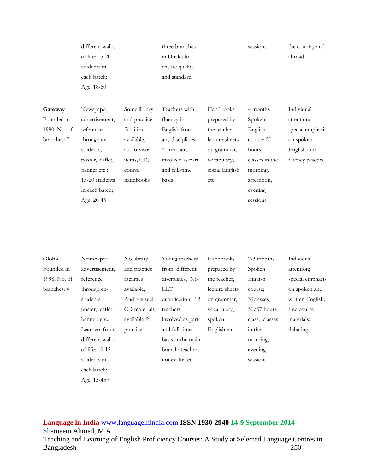|              | different walks  |               | three branches    |                | sessions       | the country and  |
|--------------|------------------|---------------|-------------------|----------------|----------------|------------------|
|              | of life; 15-20   |               | in Dhaka to       |                |                | abroad           |
|              | students in      |               | ensure quality    |                |                |                  |
|              | each batch;      |               | and standard      |                |                |                  |
|              | Age: 18-60       |               |                   |                |                |                  |
|              |                  |               |                   |                |                |                  |
| Gateway      | Newspaper        | Some library  | Teachers with     | Handbooks      | 4 months       | Individual       |
| Founded in   | advertisement,   | and practice  | fluency in        | prepared by    | Spoken         | attention;       |
| 1990; No. of | reference        | facilities    | English from      | the teacher,   | English        | special emphasis |
| branches: 7  | through ex-      | available,    | any disciplines;  | lecture sheets | course; 50     | on spoken        |
|              | students,        | audio-visual  | 10 teachers       | on grammar,    | hours,         | English and      |
|              | poster, leaflet, | items, CD,    | involved as part  | vocabulary,    | classes in the | fluency practice |
|              | banner etc.;     | course        | and full-time     | social English | morning,       |                  |
|              | 15-20 students   | handbooks     | basis             |                | afternoon,     |                  |
|              |                  |               |                   | etc.           |                |                  |
|              | in each batch;   |               |                   |                | evening        |                  |
|              | Age: 20-45       |               |                   |                | sessions       |                  |
|              |                  |               |                   |                |                |                  |
|              |                  |               |                   |                |                |                  |
|              |                  |               |                   |                |                |                  |
|              |                  |               |                   |                |                |                  |
| Global       |                  |               | Young teachers    | Handbooks      | $2-3$ months   | Individual       |
|              | Newspaper        | No library    |                   |                |                |                  |
| Founded in   | advertisement,   | and practice  | from different    | prepared by    | Spoken         | attention;       |
| 1998; No. of | reference        | facilities    | disciplines, No   | the teacher,   | English        | special emphasis |
| branches: 4  | through ex-      | available,    | <b>ELT</b>        | lecture sheets | course;        | on spoken and    |
|              | students,        | Audio-visual, | qualification; 12 | on grammar,    | 39classes,     | written English; |
|              | poster, leaflet, | CD materials  | teachers          | vocabulary,    | $50/57$ hours  | free course      |
|              | banner, etc.;    | available for | involved as part  | spoken         | class; classes | materials;       |
|              | Learners from    | practice      | and full-time     | English etc.   | in the         | debating         |
|              | different walks  |               | basis at the main |                | morning,       |                  |
|              | of life; 10-12   |               | branch; teachers  |                | evening        |                  |
|              | students in      |               | not evaluated     |                | sessions       |                  |
|              | each batch;      |               |                   |                |                |                  |
|              | Age: 15-45+      |               |                   |                |                |                  |
|              |                  |               |                   |                |                |                  |
|              |                  |               |                   |                |                |                  |
|              |                  |               |                   |                |                |                  |

**Language in India** [www.languageinindia.com](http://www.languageinindia.com/) **ISSN 1930-2940 14:9 September 2014** Shameem Ahmed, M.A.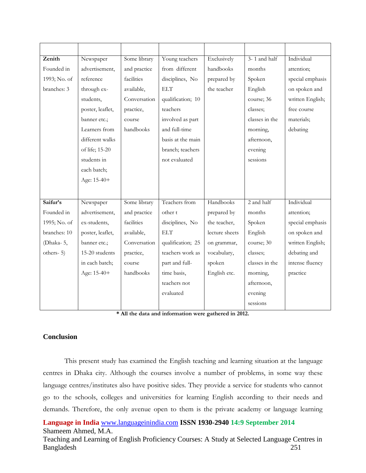| Zenith       | Newspaper        | Some library | Young teachers    | Exclusively    | 3-1 and half   | Individual       |
|--------------|------------------|--------------|-------------------|----------------|----------------|------------------|
| Founded in   | advertisement,   | and practice | from different    | handbooks      | months         | attention;       |
| 1993; No. of | reference        | facilities   | disciplines, No   | prepared by    | Spoken         | special emphasis |
| branches: 3  | through ex-      | available,   | <b>ELT</b>        | the teacher    | English        | on spoken and    |
|              | students,        | Conversation | qualification; 10 |                | course; 36     | written English; |
|              | poster, leaflet, | practice,    | teachers          |                | classes;       | free course      |
|              | banner etc.;     | course       | involved as part  |                | classes in the | materials;       |
|              | Learners from    | handbooks    | and full-time     |                | morning,       | debating         |
|              | different walks  |              | basis at the main |                | afternoon,     |                  |
|              | of life; 15-20   |              | branch; teachers  |                | evening        |                  |
|              | students in      |              | not evaluated     |                | sessions       |                  |
|              | each batch;      |              |                   |                |                |                  |
|              | Age: 15-40+      |              |                   |                |                |                  |
|              |                  |              |                   |                |                |                  |
| Saifur's     | Newspaper        | Some library | Teachers from     | Handbooks      | 2 and half     | Individual       |
| Founded in   | advertisement,   | and practice | other t           | prepared by    | months         | attention;       |
| 1995; No. of | ex-students,     | facilities   | disciplines, No   | the teacher,   | Spoken         | special emphasis |
| branches: 10 | poster, leaflet, | available,   | <b>ELT</b>        | lecture sheets | English        | on spoken and    |
| (Dhaka-5,    | banner etc.;     | Conversation | qualification; 25 | on grammar,    | course; 30     | written English; |
| others-5)    | 15-20 students   | practice,    | teachers work as  | vocabulary,    | classes;       | debating and     |
|              | in each batch;   | course       | part and full-    | spoken         | classes in the | intense fluency  |
|              | Age: 15-40+      | handbooks    | time basis,       | English etc.   | morning,       | practice         |
|              |                  |              | teachers not      |                | afternoon,     |                  |
|              |                  |              | evaluated         |                | evening        |                  |
|              |                  |              |                   |                | sessions       |                  |

|  |  |  |  |  | * All the data and information were gathered in 2012. |  |  |  |  |  |
|--|--|--|--|--|-------------------------------------------------------|--|--|--|--|--|
|--|--|--|--|--|-------------------------------------------------------|--|--|--|--|--|

## **Conclusion**

This present study has examined the English teaching and learning situation at the language centres in Dhaka city. Although the courses involve a number of problems, in some way these language centres/institutes also have positive sides. They provide a service for students who cannot go to the schools, colleges and universities for learning English according to their needs and demands. Therefore, the only avenue open to them is the private academy or language learning

**Language in India** [www.languageinindia.com](http://www.languageinindia.com/) **ISSN 1930-2940 14:9 September 2014** Shameem Ahmed, M.A.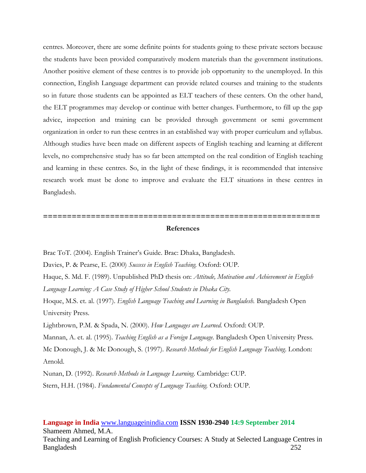centres. Moreover, there are some definite points for students going to these private sectors because the students have been provided comparatively modern materials than the government institutions. Another positive element of these centres is to provide job opportunity to the unemployed. In this connection, English Language department can provide related courses and training to the students so in future those students can be appointed as ELT teachers of these centers. On the other hand, the ELT programmes may develop or continue with better changes. Furthermore, to fill up the gap advice, inspection and training can be provided through government or semi government organization in order to run these centres in an established way with proper curriculum and syllabus. Although studies have been made on different aspects of English teaching and learning at different levels, no comprehensive study has so far been attempted on the real condition of English teaching and learning in these centres. So, in the light of these findings, it is recommended that intensive research work must be done to improve and evaluate the ELT situations in these centres in Bangladesh.

#### **References**

**==========================================================**

Brac ToT. (2004). English Trainer's Guide. Brac: Dhaka, Bangladesh.

Davies, P. & Pearse, E. (2000) *Success in English Teaching.* Oxford: OUP.

Haque, S. Md. F. (1989). Unpublished PhD thesis on: *Attitude, Motivation and Achievement in English Language Learning: A Case Study of Higher School Students in Dhaka City.* 

Hoque, M.S. et. al. (1997). *English Language Teaching and Learning in Bangladesh.* Bangladesh Open University Press.

Lightbrown, P.M. & Spada, N. (2000). *How Languages are Learned.* Oxford: OUP.

Mannan, A. et. al. (1995). *Teaching English as a Foreign Language.* Bangladesh Open University Press.

Mc Donough, J. & Mc Donough, S. (1997). *Research Methods for English Language Teaching*. London: Arnold.

Nunan, D. (1992). *Research Methods in Language Learning*. Cambridge: CUP.

Stern, H.H. (1984). *Fundamental Concepts of Language Teaching.* Oxford: OUP.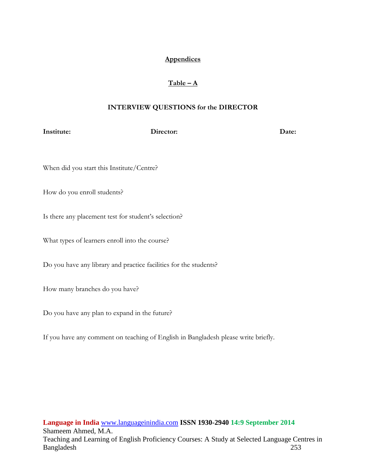## **Appendices**

## $Table - A$

## **INTERVIEW QUESTIONS for the DIRECTOR**

**Institute:** Director: Director: Date:

| When did you start this Institute/Centre?                         |
|-------------------------------------------------------------------|
| How do you enroll students?                                       |
| Is there any placement test for student's selection?              |
| What types of learners enroll into the course?                    |
| Do you have any library and practice facilities for the students? |
| How many branches do you have?                                    |
| Do you have any plan to expand in the future?                     |
|                                                                   |

If you have any comment on teaching of English in Bangladesh please write briefly.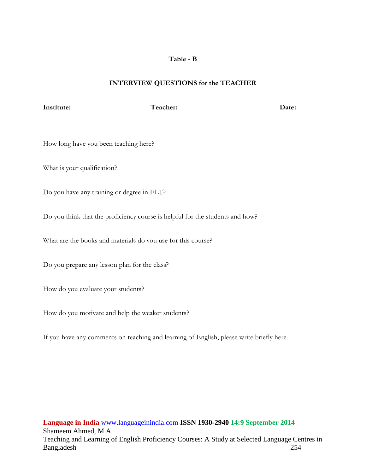## **Table - B**

## **INTERVIEW QUESTIONS for the TEACHER**

## **Institute:** Date: Teacher: Date:

How long have you been teaching here?

What is your qualification?

Do you have any training or degree in ELT?

Do you think that the proficiency course is helpful for the students and how?

What are the books and materials do you use for this course?

Do you prepare any lesson plan for the class?

How do you evaluate your students?

How do you motivate and help the weaker students?

If you have any comments on teaching and learning of English, please write briefly here.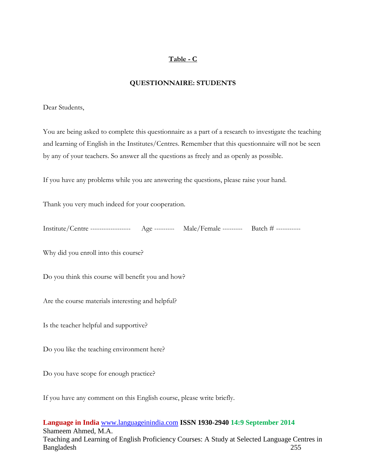## **Table - C**

## **QUESTIONNAIRE: STUDENTS**

#### Dear Students,

You are being asked to complete this questionnaire as a part of a research to investigate the teaching and learning of English in the Institutes/Centres. Remember that this questionnaire will not be seen by any of your teachers. So answer all the questions as freely and as openly as possible.

If you have any problems while you are answering the questions, please raise your hand.

Thank you very much indeed for your cooperation.

| Institute/Centre | $\Lambda$ g $\epsilon$<br>__________ | Male/<br><b>Female</b><br>---------- | Batch |
|------------------|--------------------------------------|--------------------------------------|-------|
|------------------|--------------------------------------|--------------------------------------|-------|

Why did you enroll into this course?

Do you think this course will benefit you and how?

Are the course materials interesting and helpful?

Is the teacher helpful and supportive?

Do you like the teaching environment here?

Do you have scope for enough practice?

If you have any comment on this English course, please write briefly.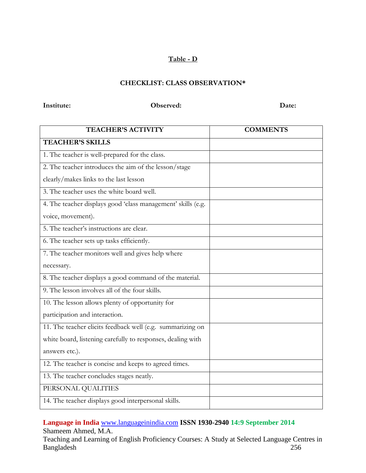## **Table - D**

## **CHECKLIST: CLASS OBSERVATION\***

#### **Institute: Observed: Date: Date:**

| <b>TEACHER'S ACTIVITY</b>                                    | <b>COMMENTS</b> |
|--------------------------------------------------------------|-----------------|
| <b>TEACHER'S SKILLS</b>                                      |                 |
| 1. The teacher is well-prepared for the class.               |                 |
| 2. The teacher introduces the aim of the lesson/stage        |                 |
| clearly/makes links to the last lesson                       |                 |
| 3. The teacher uses the white board well.                    |                 |
| 4. The teacher displays good 'class management' skills (e.g. |                 |
| voice, movement).                                            |                 |
| 5. The teacher's instructions are clear.                     |                 |
| 6. The teacher sets up tasks efficiently.                    |                 |
| 7. The teacher monitors well and gives help where            |                 |
| necessary.                                                   |                 |
| 8. The teacher displays a good command of the material.      |                 |
| 9. The lesson involves all of the four skills.               |                 |
| 10. The lesson allows plenty of opportunity for              |                 |
| participation and interaction.                               |                 |
| 11. The teacher elicits feedback well (e.g. summarizing on   |                 |
| white board, listening carefully to responses, dealing with  |                 |
| answers etc.).                                               |                 |
| 12. The teacher is concise and keeps to agreed times.        |                 |
| 13. The teacher concludes stages neatly.                     |                 |
| PERSONAL QUALITIES                                           |                 |
| 14. The teacher displays good interpersonal skills.          |                 |

## **Language in India** [www.languageinindia.com](http://www.languageinindia.com/) **ISSN 1930-2940 14:9 September 2014** Shameem Ahmed, M.A.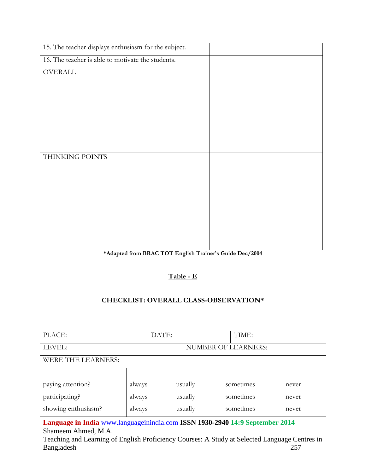| 15. The teacher displays enthusiasm for the subject. |  |
|------------------------------------------------------|--|
| 16. The teacher is able to motivate the students.    |  |
| OVERALL                                              |  |
|                                                      |  |
|                                                      |  |
|                                                      |  |
|                                                      |  |
|                                                      |  |
|                                                      |  |
| THINKING POINTS                                      |  |
|                                                      |  |
|                                                      |  |
|                                                      |  |
|                                                      |  |
|                                                      |  |
|                                                      |  |
|                                                      |  |

## **\*Adapted from BRAC TOT English Trainer's Guide Dec/2004**

## **Table - E**

## **CHECKLIST: OVERALL CLASS-OBSERVATION\***

| PLACE:                    |        | DATE: |         | TIME:               |       |
|---------------------------|--------|-------|---------|---------------------|-------|
| LEVEL:                    |        |       |         | NUMBER OF LEARNERS: |       |
| <b>WERE THE LEARNERS:</b> |        |       |         |                     |       |
|                           |        |       |         |                     |       |
| paying attention?         | always |       | usually | sometimes           | never |
| participating?            | always |       | usually | sometimes           | never |
| showing enthusiasm?       | always |       | usually | sometimes           | never |

**Language in India** [www.languageinindia.com](http://www.languageinindia.com/) **ISSN 1930-2940 14:9 September 2014** Shameem Ahmed, M.A.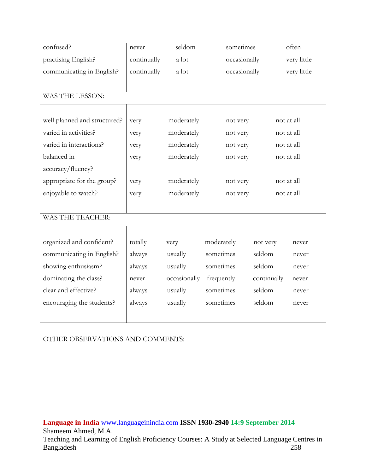| confused?                        | never       | seldom       | sometimes    |             | often       |
|----------------------------------|-------------|--------------|--------------|-------------|-------------|
| practising English?              | continually | a lot        | occasionally |             | very little |
| communicating in English?        | continually | a lot        | occasionally |             | very little |
|                                  |             |              |              |             |             |
| WAS THE LESSON:                  |             |              |              |             |             |
|                                  |             |              |              |             |             |
| well planned and structured?     | very        | moderately   | not very     |             | not at all  |
| varied in activities?            | very        | moderately   | not very     |             | not at all  |
| varied in interactions?          | very        | moderately   | not very     |             | not at all  |
| balanced in                      | very        | moderately   | not very     |             | not at all  |
| accuracy/fluency?                |             |              |              |             |             |
| appropriate for the group?       | very        | moderately   | not very     |             | not at all  |
| enjoyable to watch?              | very        | moderately   | not very     |             | not at all  |
|                                  |             |              |              |             |             |
| WAS THE TEACHER:                 |             |              |              |             |             |
|                                  |             |              |              |             |             |
| organized and confident?         | totally     | very         | moderately   | not very    | never       |
| communicating in English?        | always      | usually      | sometimes    | seldom      | never       |
| showing enthusiasm?              | always      | usually      | sometimes    | seldom      | never       |
| dominating the class?            | never       | occasionally | frequently   | continually | never       |
| clear and effective?             | always      | usually      | sometimes    | seldom      | never       |
| encouraging the students?        | always      | usually      | sometimes    | seldom      | never       |
|                                  |             |              |              |             |             |
|                                  |             |              |              |             |             |
| OTHER OBSERVATIONS AND COMMENTS: |             |              |              |             |             |
|                                  |             |              |              |             |             |